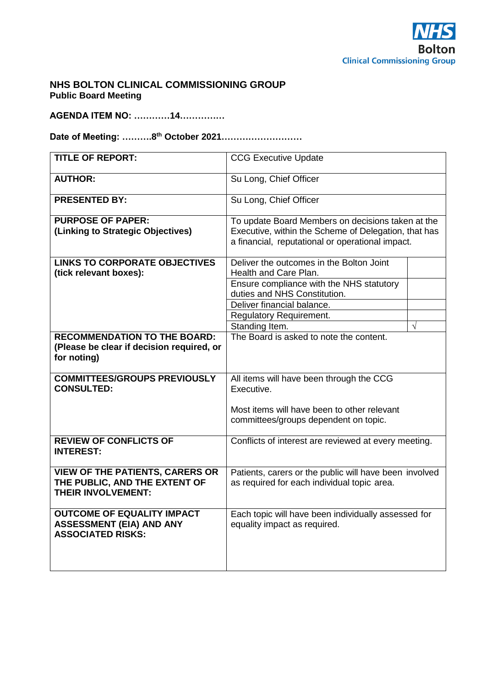

## **NHS BOLTON CLINICAL COMMISSIONING GROUP Public Board Meeting**

**AGENDA ITEM NO: …………14……………**

**Date of Meeting: ……….8 th October 2021………………………**

| <b>TITLE OF REPORT:</b>                   | <b>CCG Executive Update</b>                                                         |            |
|-------------------------------------------|-------------------------------------------------------------------------------------|------------|
| <b>AUTHOR:</b>                            | Su Long, Chief Officer                                                              |            |
| <b>PRESENTED BY:</b>                      | Su Long, Chief Officer                                                              |            |
| <b>PURPOSE OF PAPER:</b>                  | To update Board Members on decisions taken at the                                   |            |
| (Linking to Strategic Objectives)         | Executive, within the Scheme of Delegation, that has                                |            |
|                                           | a financial, reputational or operational impact.                                    |            |
| <b>LINKS TO CORPORATE OBJECTIVES</b>      | Deliver the outcomes in the Bolton Joint                                            |            |
| (tick relevant boxes):                    | Health and Care Plan.                                                               |            |
|                                           | Ensure compliance with the NHS statutory                                            |            |
|                                           | duties and NHS Constitution.                                                        |            |
|                                           | Deliver financial balance.                                                          |            |
|                                           | <b>Regulatory Requirement.</b>                                                      |            |
|                                           | Standing Item.                                                                      | $\sqrt{ }$ |
| <b>RECOMMENDATION TO THE BOARD:</b>       | The Board is asked to note the content.                                             |            |
| (Please be clear if decision required, or |                                                                                     |            |
| for noting)                               |                                                                                     |            |
|                                           |                                                                                     |            |
| <b>COMMITTEES/GROUPS PREVIOUSLY</b>       | All items will have been through the CCG                                            |            |
| <b>CONSULTED:</b>                         | Executive.                                                                          |            |
|                                           | Most items will have been to other relevant                                         |            |
|                                           | committees/groups dependent on topic.                                               |            |
|                                           |                                                                                     |            |
| <b>REVIEW OF CONFLICTS OF</b>             | Conflicts of interest are reviewed at every meeting.                                |            |
| <b>INTEREST:</b>                          |                                                                                     |            |
|                                           |                                                                                     |            |
| <b>VIEW OF THE PATIENTS, CARERS OR</b>    | Patients, carers or the public will have been involved                              |            |
| THE PUBLIC, AND THE EXTENT OF             | as required for each individual topic area.                                         |            |
| <b>THEIR INVOLVEMENT:</b>                 |                                                                                     |            |
| <b>OUTCOME OF EQUALITY IMPACT</b>         |                                                                                     |            |
| <b>ASSESSMENT (EIA) AND ANY</b>           | Each topic will have been individually assessed for<br>equality impact as required. |            |
| <b>ASSOCIATED RISKS:</b>                  |                                                                                     |            |
|                                           |                                                                                     |            |
|                                           |                                                                                     |            |
|                                           |                                                                                     |            |